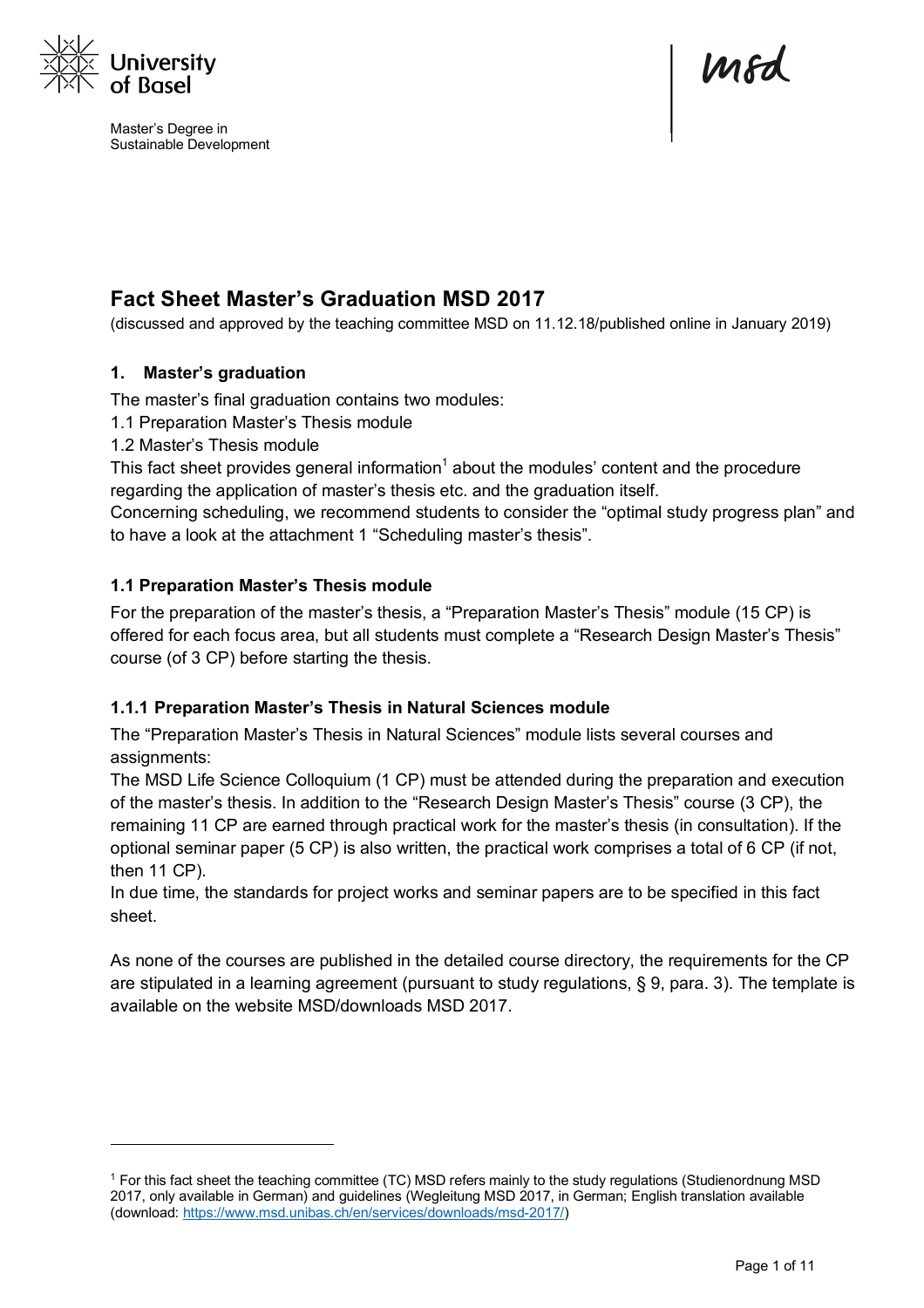

l

Master's Degree in Sustainable Development

Mod

# **Fact Sheet Master's Graduation MSD 2017**

(discussed and approved by the teaching committee MSD on 11.12.18/published online in January 2019)

# **1. Master's graduation**

The master's final graduation contains two modules:

- 1.1 Preparation Master's Thesis module
- 1.2 Master's Thesis module

This fact sheet provides general information<sup>1</sup> about the modules' content and the procedure regarding the application of master's thesis etc. and the graduation itself.

Concerning scheduling, we recommend students to consider the "optimal study progress plan" and to have a look at the attachment 1 "Scheduling master's thesis".

# **1.1 Preparation Master's Thesis module**

For the preparation of the master's thesis, a "Preparation Master's Thesis" module (15 CP) is offered for each focus area, but all students must complete a "Research Design Master's Thesis" course (of 3 CP) before starting the thesis.

#### **1.1.1 Preparation Master's Thesis in Natural Sciences module**

The "Preparation Master's Thesis in Natural Sciences" module lists several courses and assignments:

The MSD Life Science Colloquium (1 CP) must be attended during the preparation and execution of the master's thesis. In addition to the "Research Design Master's Thesis" course (3 CP), the remaining 11 CP are earned through practical work for the master's thesis (in consultation). If the optional seminar paper (5 CP) is also written, the practical work comprises a total of 6 CP (if not, then 11 CP).

In due time, the standards for project works and seminar papers are to be specified in this fact sheet.

As none of the courses are published in the detailed course directory, the requirements for the CP are stipulated in a learning agreement (pursuant to study regulations, § 9, para. 3). The template is available on the website MSD/downloads MSD 2017.

<sup>1</sup> For this fact sheet the teaching committee (TC) MSD refers mainly to the study regulations (Studienordnung MSD 2017, only available in German) and guidelines (Wegleitung MSD 2017, in German; English translation available (download: https://www.msd.unibas.ch/en/services/downloads/msd-2017/)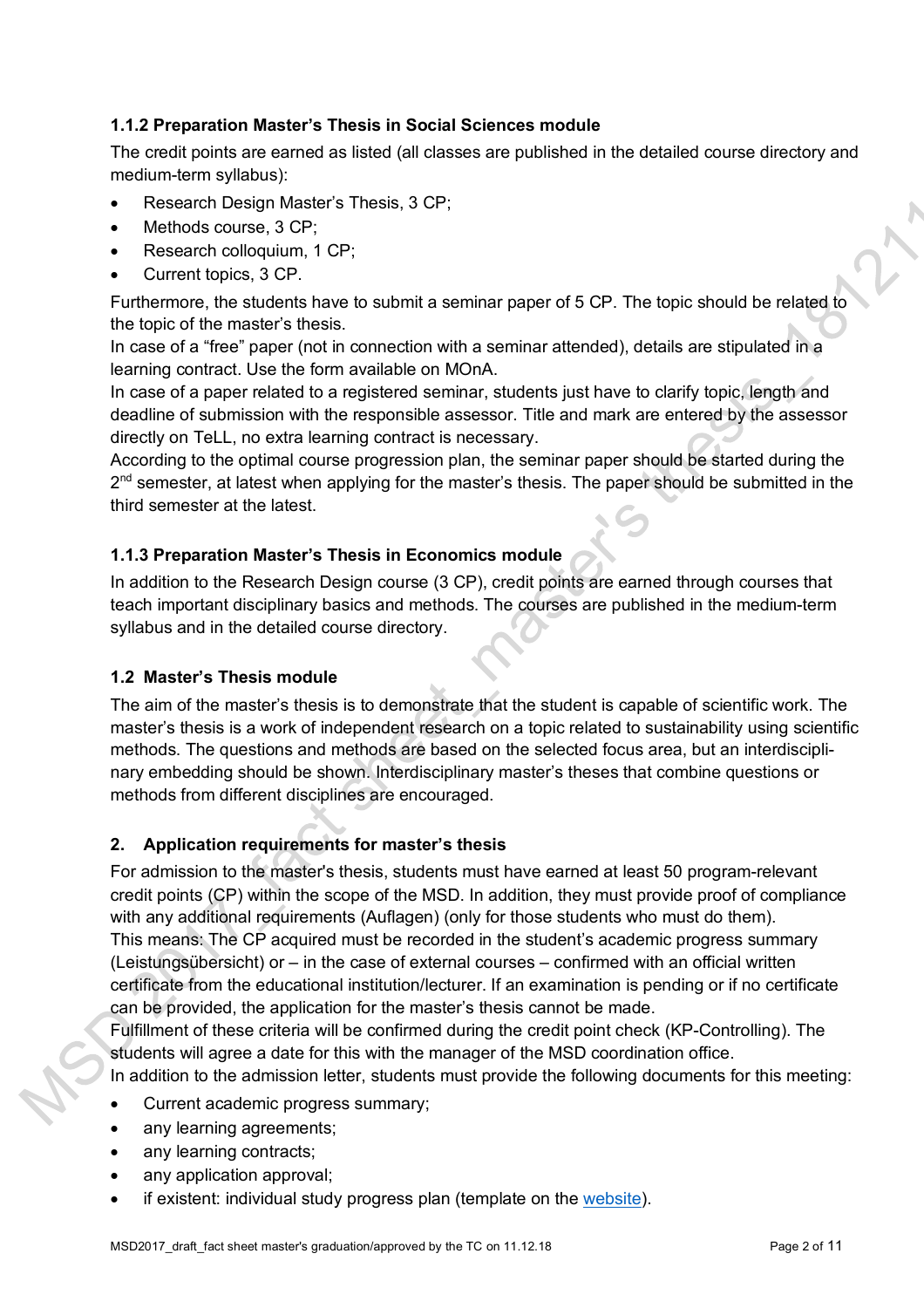# **1.1.2 Preparation Master's Thesis in Social Sciences module**

The credit points are earned as listed (all classes are published in the detailed course directory and medium-term syllabus):

- Research Design Master's Thesis, 3 CP;
- Methods course, 3 CP;
- Research colloquium, 1 CP;
- Current topics, 3 CP.

Furthermore, the students have to submit a seminar paper of 5 CP. The topic should be related to the topic of the master's thesis.

In case of a "free" paper (not in connection with a seminar attended), details are stipulated in a learning contract. Use the form available on MOnA.

In case of a paper related to a registered seminar, students just have to clarify topic, length and deadline of submission with the responsible assessor. Title and mark are entered by the assessor directly on TeLL, no extra learning contract is necessary.

According to the optimal course progression plan, the seminar paper should be started during the  $2<sup>nd</sup>$  semester, at latest when applying for the master's thesis. The paper should be submitted in the third semester at the latest.

# **1.1.3 Preparation Master's Thesis in Economics module**

In addition to the Research Design course (3 CP), credit points are earned through courses that teach important disciplinary basics and methods. The courses are published in the medium-term syllabus and in the detailed course directory.

# **1.2 Master's Thesis module**

The aim of the master's thesis is to demonstrate that the student is capable of scientific work. The master's thesis is a work of independent research on a topic related to sustainability using scientific methods. The questions and methods are based on the selected focus area, but an interdisciplinary embedding should be shown. Interdisciplinary master's theses that combine questions or methods from different disciplines are encouraged.

# **2. Application requirements for master's thesis**

For admission to the master's thesis, students must have earned at least 50 program-relevant credit points (CP) within the scope of the MSD. In addition, they must provide proof of compliance with any additional requirements (Auflagen) (only for those students who must do them). This means: The CP acquired must be recorded in the student's academic progress summary (Leistungsübersicht) or – in the case of external courses – confirmed with an official written certificate from the educational institution/lecturer. If an examination is pending or if no certificate can be provided, the application for the master's thesis cannot be made.

Fulfillment of these criteria will be confirmed during the credit point check (KP-Controlling). The students will agree a date for this with the manager of the MSD coordination office.

In addition to the admission letter, students must provide the following documents for this meeting:

- Current academic progress summary;
- any learning agreements;
- any learning contracts;
- any application approval;
- if existent: individual study progress plan (template on the website).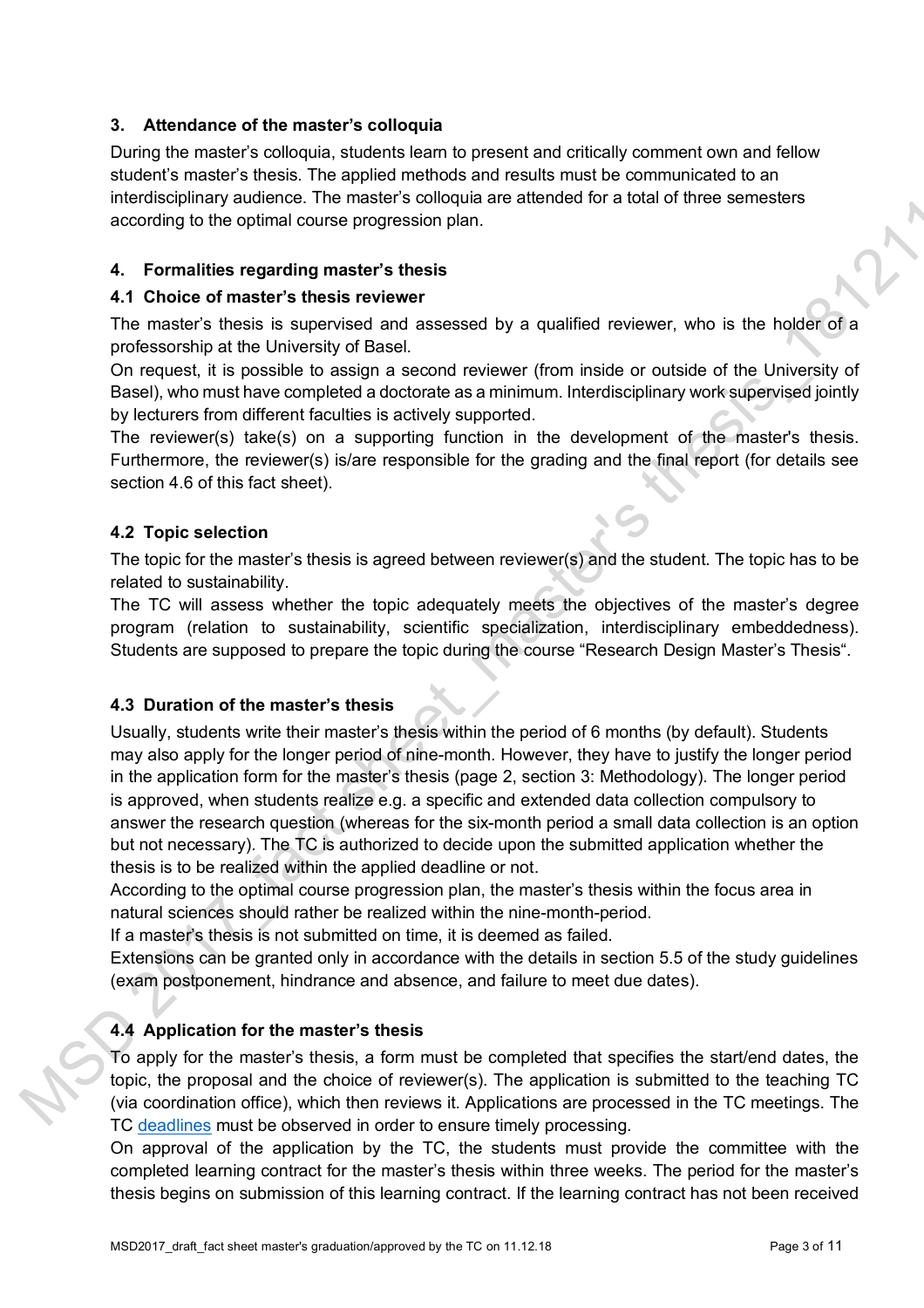# **3. Attendance of the master's colloquia**

During the master's colloquia, students learn to present and critically comment own and fellow student's master's thesis. The applied methods and results must be communicated to an interdisciplinary audience. The master's colloquia are attended for a total of three semesters according to the optimal course progression plan.

# **4. Formalities regarding master's thesis**

#### **4.1 Choice of master's thesis reviewer**

The master's thesis is supervised and assessed by a qualified reviewer, who is the holder of a professorship at the University of Basel.

On request, it is possible to assign a second reviewer (from inside or outside of the University of Basel), who must have completed a doctorate as a minimum. Interdisciplinary work supervised jointly by lecturers from different faculties is actively supported.

The reviewer(s) take(s) on a supporting function in the development of the master's thesis. Furthermore, the reviewer(s) is/are responsible for the grading and the final report (for details see section 4.6 of this fact sheet).

# **4.2 Topic selection**

The topic for the master's thesis is agreed between reviewer(s) and the student. The topic has to be related to sustainability.

The TC will assess whether the topic adequately meets the objectives of the master's degree program (relation to sustainability, scientific specialization, interdisciplinary embeddedness). Students are supposed to prepare the topic during the course "Research Design Master's Thesis".

#### **4.3 Duration of the master's thesis**

Usually, students write their master's thesis within the period of 6 months (by default). Students may also apply for the longer period of nine-month. However, they have to justify the longer period in the application form for the master's thesis (page 2, section 3: Methodology). The longer period is approved, when students realize e.g. a specific and extended data collection compulsory to answer the research question (whereas for the six-month period a small data collection is an option but not necessary). The TC is authorized to decide upon the submitted application whether the thesis is to be realized within the applied deadline or not.

According to the optimal course progression plan, the master's thesis within the focus area in natural sciences should rather be realized within the nine-month-period.

If a master's thesis is not submitted on time, it is deemed as failed.

Extensions can be granted only in accordance with the details in section 5.5 of the study guidelines (exam postponement, hindrance and absence, and failure to meet due dates).

# **4.4 Application for the master's thesis**

To apply for the master's thesis, a form must be completed that specifies the start/end dates, the topic, the proposal and the choice of reviewer(s). The application is submitted to the teaching TC (via coordination office), which then reviews it. Applications are processed in the TC meetings. The TC deadlines must be observed in order to ensure timely processing.

On approval of the application by the TC, the students must provide the committee with the completed learning contract for the master's thesis within three weeks. The period for the master's thesis begins on submission of this learning contract. If the learning contract has not been received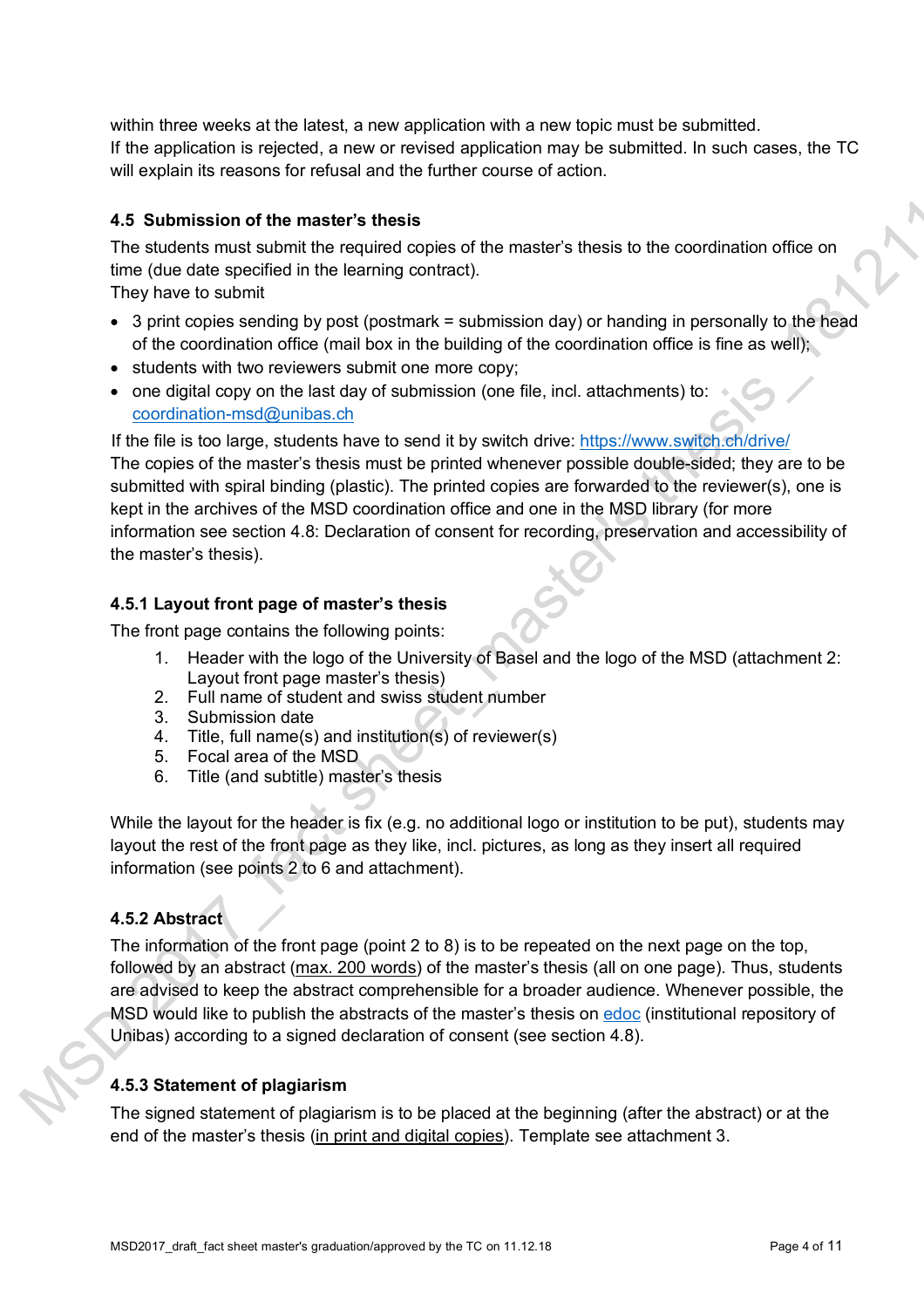within three weeks at the latest, a new application with a new topic must be submitted. If the application is rejected, a new or revised application may be submitted. In such cases, the TC will explain its reasons for refusal and the further course of action.

# **4.5 Submission of the master's thesis**

The students must submit the required copies of the master's thesis to the coordination office on time (due date specified in the learning contract).

They have to submit

- $\bullet$  3 print copies sending by post (postmark = submission day) or handing in personally to the head of the coordination office (mail box in the building of the coordination office is fine as well);
- students with two reviewers submit one more copy;
- one digital copy on the last day of submission (one file, incl. attachments) to: coordination-msd@unibas.ch

If the file is too large, students have to send it by switch drive: https://www.switch.ch/drive/ The copies of the master's thesis must be printed whenever possible double-sided; they are to be submitted with spiral binding (plastic). The printed copies are forwarded to the reviewer(s), one is kept in the archives of the MSD coordination office and one in the MSD library (for more information see section 4.8: Declaration of consent for recording, preservation and accessibility of the master's thesis).

# **4.5.1 Layout front page of master's thesis**

The front page contains the following points:

- 1. Header with the logo of the University of Basel and the logo of the MSD (attachment 2: Layout front page master's thesis)
- 2. Full name of student and swiss student number
- 3. Submission date
- 4. Title, full name(s) and institution(s) of reviewer(s)
- 5. Focal area of the MSD
- 6. Title (and subtitle) master's thesis

While the layout for the header is fix (e.g. no additional logo or institution to be put), students may layout the rest of the front page as they like, incl. pictures, as long as they insert all required information (see points 2 to 6 and attachment).

# **4.5.2 Abstract**

The information of the front page (point 2 to 8) is to be repeated on the next page on the top, followed by an abstract (max. 200 words) of the master's thesis (all on one page). Thus, students are advised to keep the abstract comprehensible for a broader audience. Whenever possible, the MSD would like to publish the abstracts of the master's thesis on edoc (institutional repository of Unibas) according to a signed declaration of consent (see section 4.8).

# **4.5.3 Statement of plagiarism**

The signed statement of plagiarism is to be placed at the beginning (after the abstract) or at the end of the master's thesis (in print and digital copies). Template see attachment 3.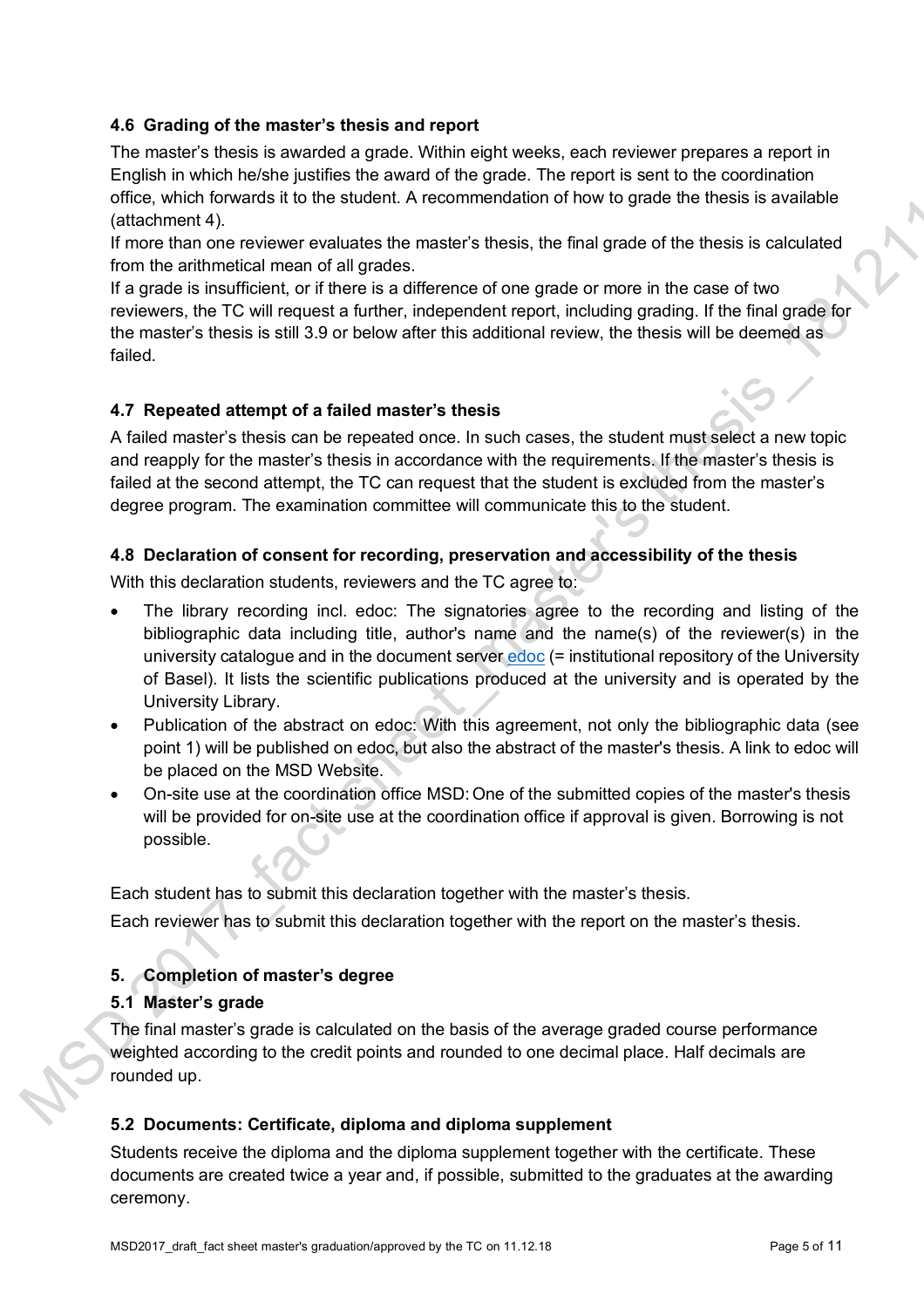# **4.6 Grading of the master's thesis and report**

The master's thesis is awarded a grade. Within eight weeks, each reviewer prepares a report in English in which he/she justifies the award of the grade. The report is sent to the coordination office, which forwards it to the student. A recommendation of how to grade the thesis is available (attachment 4).

If more than one reviewer evaluates the master's thesis, the final grade of the thesis is calculated from the arithmetical mean of all grades.

If a grade is insufficient, or if there is a difference of one grade or more in the case of two reviewers, the TC will request a further, independent report, including grading. If the final grade for the master's thesis is still 3.9 or below after this additional review, the thesis will be deemed as failed.

#### **4.7 Repeated attempt of a failed master's thesis**

A failed master's thesis can be repeated once. In such cases, the student must select a new topic and reapply for the master's thesis in accordance with the requirements. If the master's thesis is failed at the second attempt, the TC can request that the student is excluded from the master's degree program. The examination committee will communicate this to the student.

# **4.8 Declaration of consent for recording, preservation and accessibility of the thesis**

With this declaration students, reviewers and the TC agree to:

- The library recording incl. edoc: The signatories agree to the recording and listing of the bibliographic data including title, author's name and the name(s) of the reviewer(s) in the university catalogue and in the document server edoc (= institutional repository of the University of Basel). It lists the scientific publications produced at the university and is operated by the University Library.
- Publication of the abstract on edoc: With this agreement, not only the bibliographic data (see point 1) will be published on edoc, but also the abstract of the master's thesis. A link to edoc will be placed on the MSD Website.
- On-site use at the coordination office MSD: One of the submitted copies of the master's thesis will be provided for on-site use at the coordination office if approval is given. Borrowing is not possible.

Each student has to submit this declaration together with the master's thesis.

Each reviewer has to submit this declaration together with the report on the master's thesis.

# **5. Completion of master's degree**

#### **5.1 Master's grade**

The final master's grade is calculated on the basis of the average graded course performance weighted according to the credit points and rounded to one decimal place. Half decimals are rounded up.

#### **5.2 Documents: Certificate, diploma and diploma supplement**

Students receive the diploma and the diploma supplement together with the certificate. These documents are created twice a year and, if possible, submitted to the graduates at the awarding ceremony.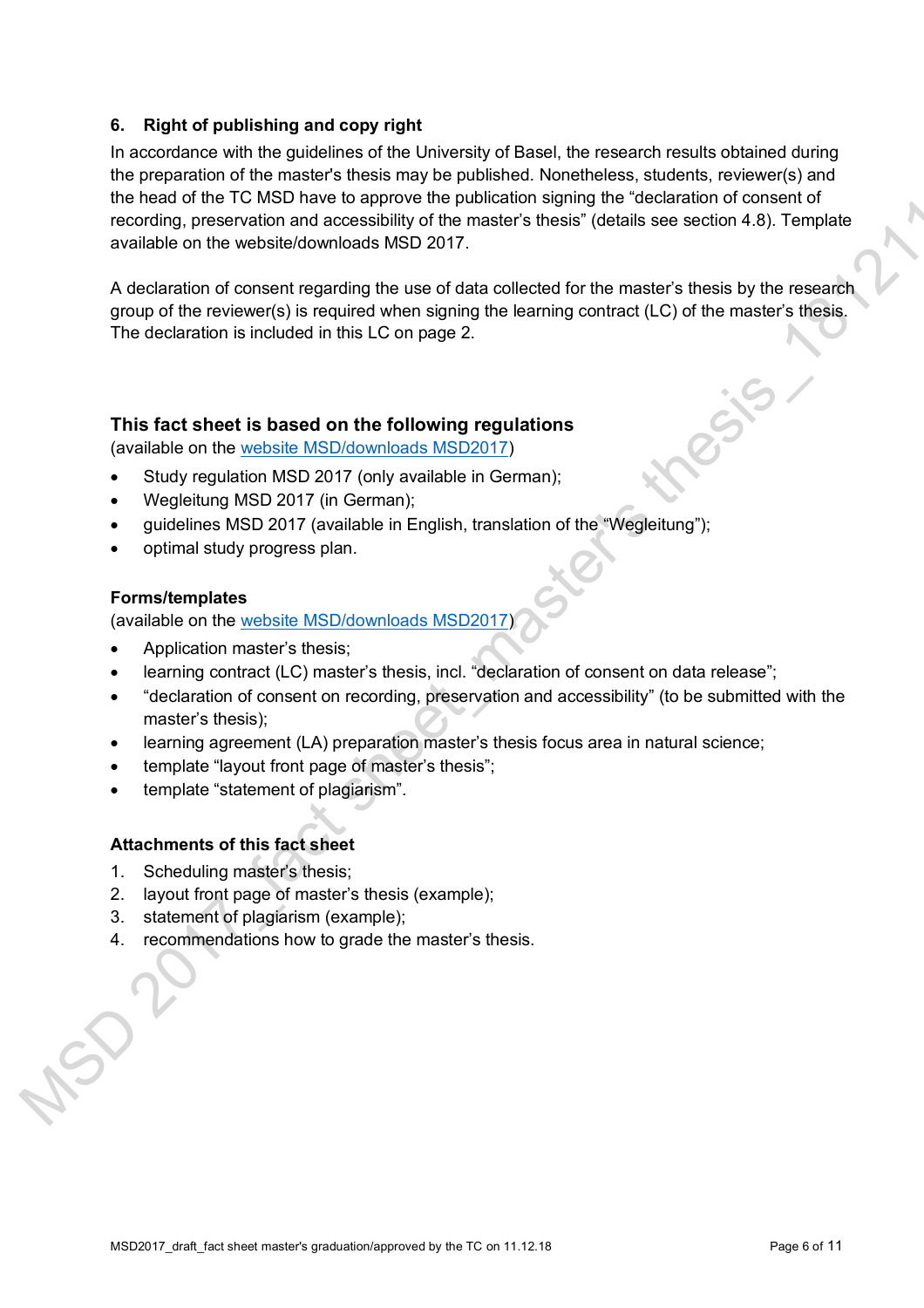# **6. Right of publishing and copy right**

In accordance with the guidelines of the University of Basel, the research results obtained during the preparation of the master's thesis may be published. Nonetheless, students, reviewer(s) and the head of the TC MSD have to approve the publication signing the "declaration of consent of recording, preservation and accessibility of the master's thesis" (details see section 4.8). Template available on the website/downloads MSD 2017.

A declaration of consent regarding the use of data collected for the master's thesis by the research group of the reviewer(s) is required when signing the learning contract (LC) of the master's thesis. The declaration is included in this LC on page 2.

# **This fact sheet is based on the following regulations**

(available on the website MSD/downloads MSD2017)

- Study regulation MSD 2017 (only available in German);
- Wegleitung MSD 2017 (in German);
- guidelines MSD 2017 (available in English, translation of the "Wegleitung");
- optimal study progress plan.

#### **Forms/templates**

(available on the website MSD/downloads MSD2017)

- Application master's thesis;
- learning contract (LC) master's thesis, incl. "declaration of consent on data release":
- "declaration of consent on recording, preservation and accessibility" (to be submitted with the master's thesis);
- learning agreement (LA) preparation master's thesis focus area in natural science;
- template "layout front page of master's thesis";
- template "statement of plagiarism".

#### **Attachments of this fact sheet**

- 1. Scheduling master's thesis;
- 2. layout front page of master's thesis (example);
- 3. statement of plagiarism (example);
- 4. recommendations how to grade the master's thesis.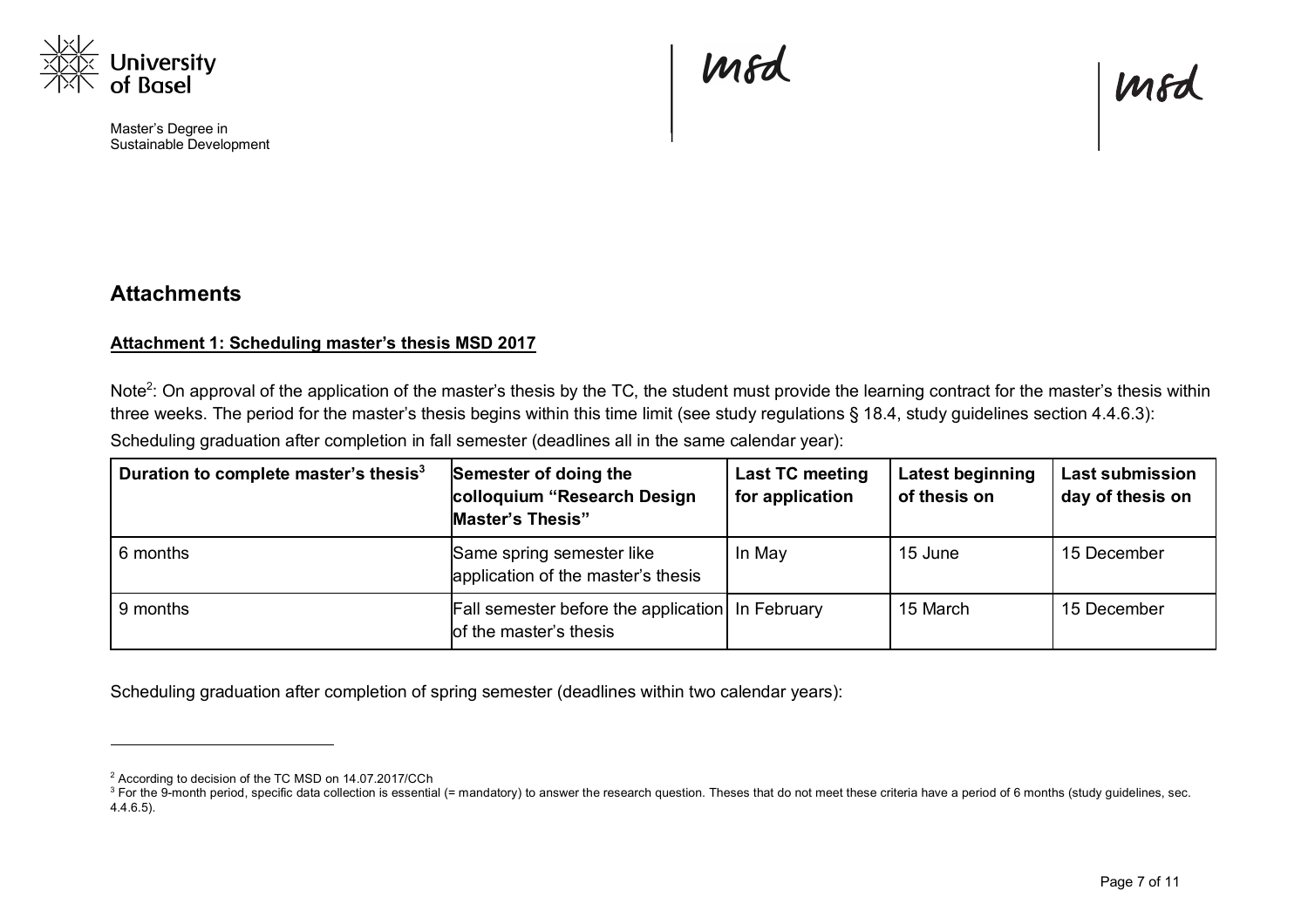

l

Master's Degree in Sustainable Development Mfd



# **Attachments**

#### **Attachment 1: Scheduling master's thesis MSD 2017**

Note<sup>2</sup>: On approval of the application of the master's thesis by the TC, the student must provide the learning contract for the master's thesis within three weeks. The period for the master's thesis begins within this time limit (see study regulations § 18.4, study guidelines section 4.4.6.3):

Scheduling graduation after completion in fall semester (deadlines all in the same calendar year):

| Duration to complete master's thesis <sup>3</sup> | Semester of doing the<br>colloquium "Research Design<br><b>Master's Thesis"</b> | <b>Last TC meeting</b><br>for application | <b>Latest beginning</b><br>of thesis on | <b>Last submission</b><br>day of thesis on |
|---------------------------------------------------|---------------------------------------------------------------------------------|-------------------------------------------|-----------------------------------------|--------------------------------------------|
| 6 months                                          | Same spring semester like<br>application of the master's thesis                 | In May                                    | 15 June                                 | 15 December                                |
| 9 months                                          | Fall semester before the application   In February<br>of the master's thesis    |                                           | 15 March                                | 15 December                                |

Scheduling graduation after completion of spring semester (deadlines within two calendar years):

<sup>2</sup> According to decision of the TC MSD on 14.07.2017/CCh

<sup>&</sup>lt;sup>3</sup> For the 9-month period, specific data collection is essential (= mandatory) to answer the research question. Theses that do not meet these criteria have a period of 6 months (study guidelines, sec. 4.4.6.5).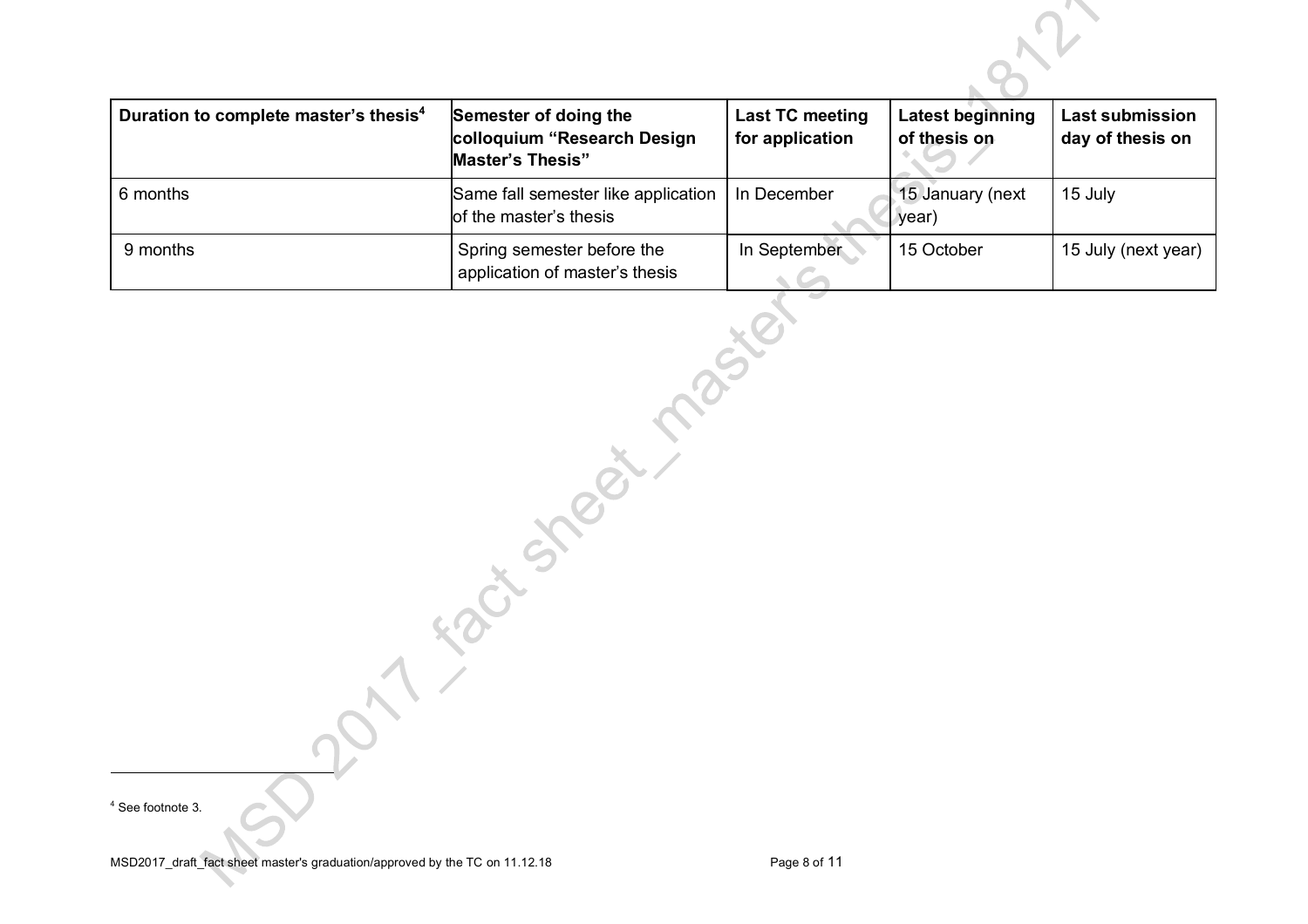| Duration to complete master's thesis <sup>4</sup> | Semester of doing the<br>colloquium "Research Design<br><b>Master's Thesis"</b> | Last TC meeting<br>for application | <b>Latest beginning</b><br>of thesis on | <b>Last submission</b><br>day of thesis on |
|---------------------------------------------------|---------------------------------------------------------------------------------|------------------------------------|-----------------------------------------|--------------------------------------------|
| 6 months                                          | Same fall semester like application<br>of the master's thesis                   | In December                        | 15 January (next<br>year)               | 15 July                                    |
| 9 months                                          | Spring semester before the<br>application of master's thesis                    | In September                       | 15 October                              | 15 July (next year)                        |

<sup>4</sup> See footnote 3.

l

 $\Omega$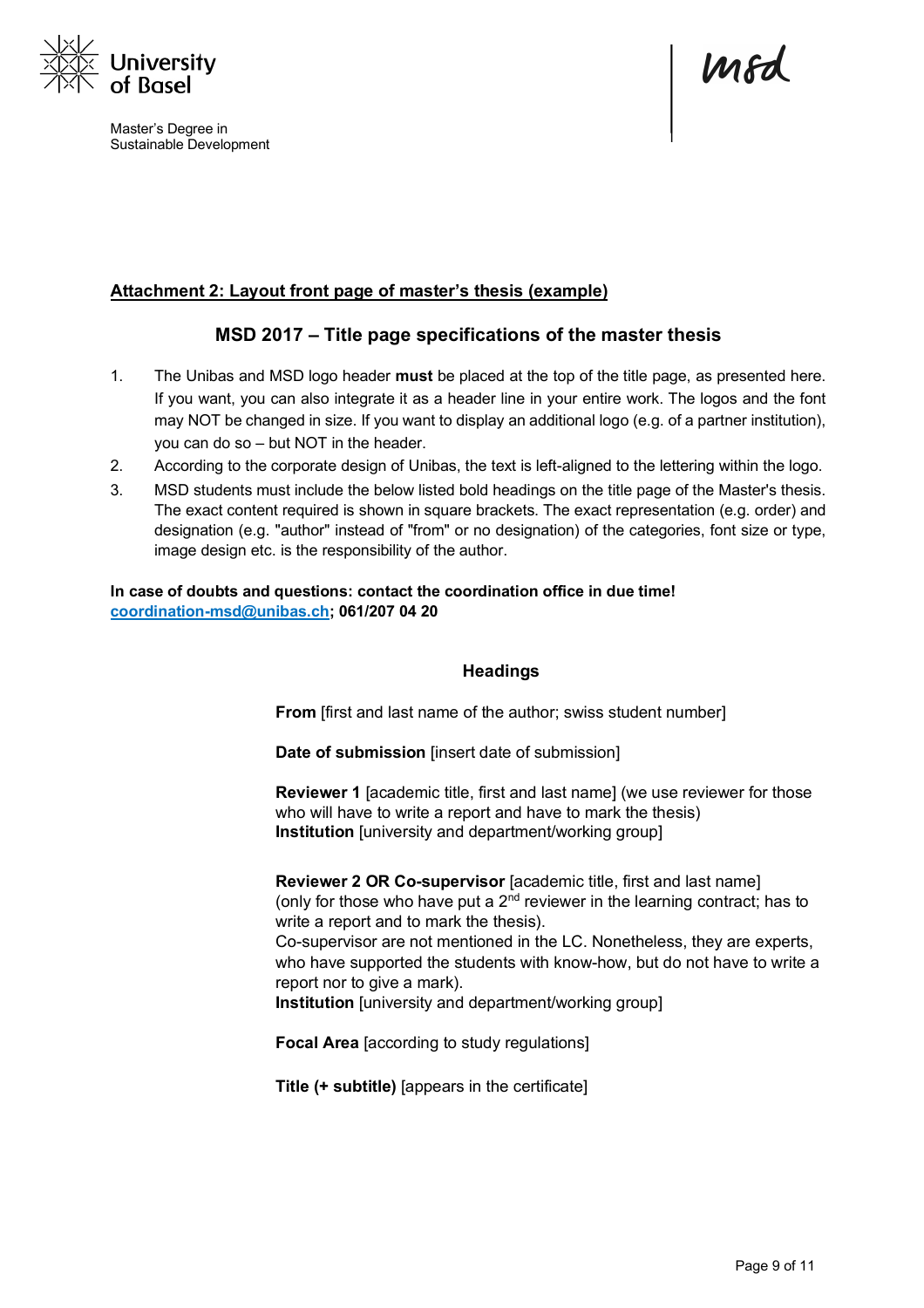

Master's Degree in Sustainable Development

mod

#### **Attachment 2: Layout front page of master's thesis (example)**

# **MSD 2017 – Title page specifications of the master thesis**

- 1. The Unibas and MSD logo header **must** be placed at the top of the title page, as presented here. If you want, you can also integrate it as a header line in your entire work. The logos and the font may NOT be changed in size. If you want to display an additional logo (e.g. of a partner institution), you can do so – but NOT in the header.
- 2. According to the corporate design of Unibas, the text is left-aligned to the lettering within the logo.
- 3. MSD students must include the below listed bold headings on the title page of the Master's thesis. The exact content required is shown in square brackets. The exact representation (e.g. order) and designation (e.g. "author" instead of "from" or no designation) of the categories, font size or type, image design etc. is the responsibility of the author.

**In case of doubts and questions: contact the coordination office in due time! coordination-msd@unibas.ch; 061/207 04 20**

#### **Headings**

**From** [first and last name of the author; swiss student number]

**Date of submission** [insert date of submission]

**Reviewer 1** [academic title, first and last name] (we use reviewer for those who will have to write a report and have to mark the thesis) **Institution** [university and department/working group]

**Reviewer 2 OR Co-supervisor** [academic title, first and last name] (only for those who have put a  $2<sup>nd</sup>$  reviewer in the learning contract; has to write a report and to mark the thesis). Co-supervisor are not mentioned in the LC. Nonetheless, they are experts, who have supported the students with know-how, but do not have to write a report nor to give a mark).

**Institution** [university and department/working group]

**Focal Area** [according to study regulations]

**Title (+ subtitle)** [appears in the certificate]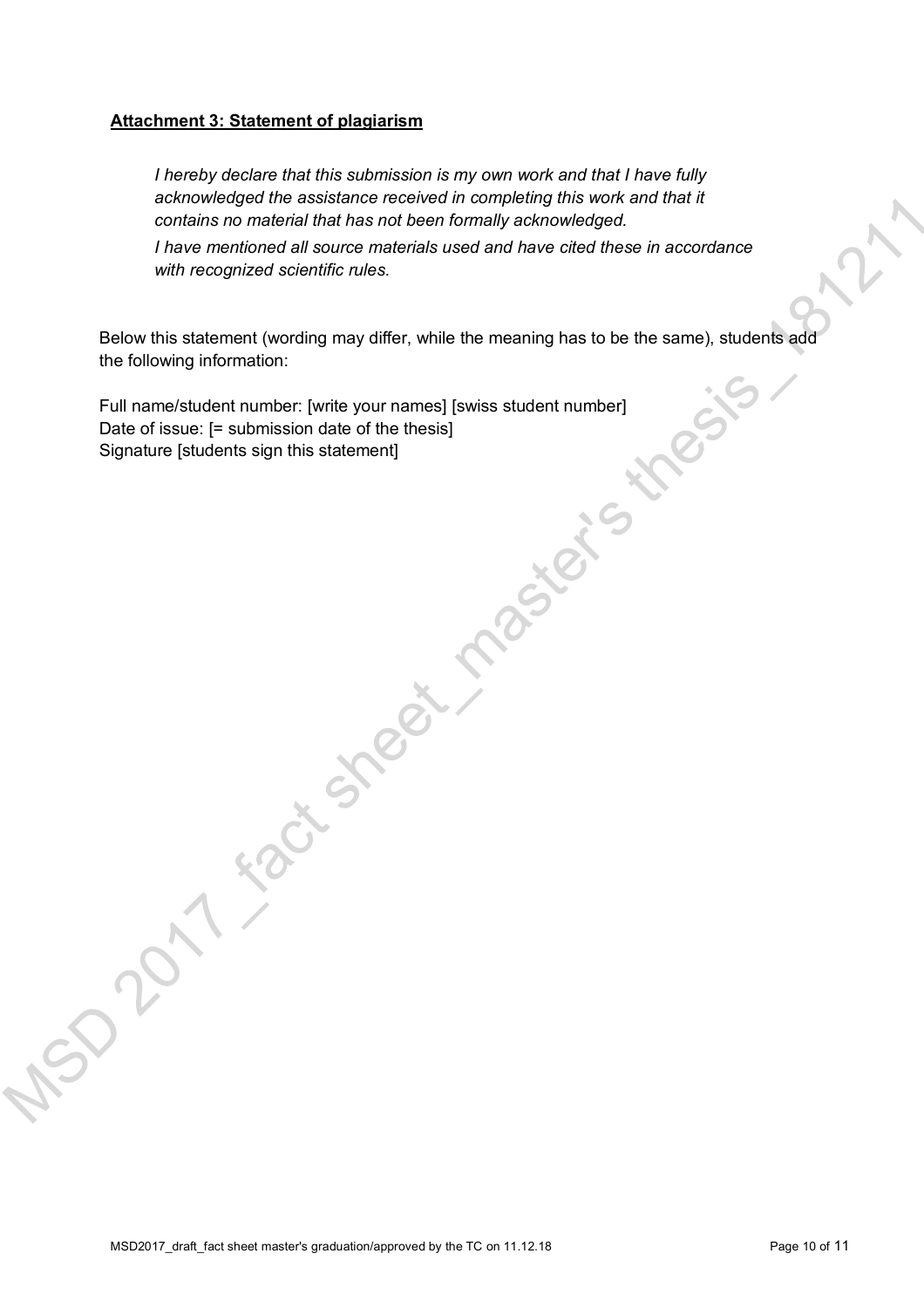#### **Attachment 3: Statement of plagiarism**

*I hereby declare that this submission is my own work and that I have fully acknowledged the assistance received in completing this work and that it contains no material that has not been formally acknowledged.* 

*I have mentioned all source materials used and have cited these in accordance with recognized scientific rules.*

the following information:

Below this statement (wording may differ, while the meaning has to be the same), students add<br>the following information:<br>Date of issue: [= submission date of the thesis]<br>Date of issue: [= submission date of the thesis]<br>Sig Full name/student number: [write your names] [swiss student number] Date of issue: [= submission date of the thesis] Signature [students sign this statement]

 $\mathcal{S}^2$